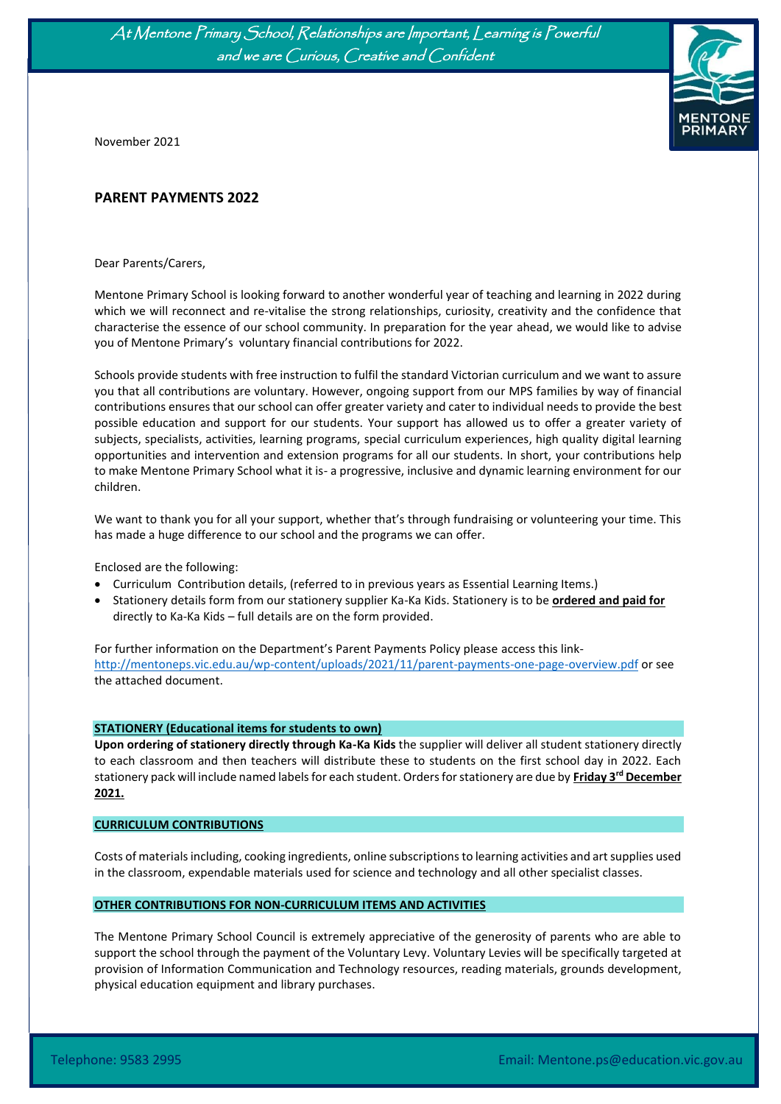At Mentone Primary School, Relationships are Important, Learning is Powerful and we are Curious, Creative and Confident



November 2021

Ĩ

### **PARENT PAYMENTS 2022**

Dear Parents/Carers,

Mentone Primary School is looking forward to another wonderful year of teaching and learning in 2022 during which we will reconnect and re-vitalise the strong relationships, curiosity, creativity and the confidence that characterise the essence of our school community. In preparation for the year ahead, we would like to advise you of Mentone Primary's voluntary financial contributions for 2022.

Schools provide students with free instruction to fulfil the standard Victorian curriculum and we want to assure you that all contributions are voluntary. However, ongoing support from our MPS families by way of financial contributions ensures that our school can offer greater variety and cater to individual needs to provide the best possible education and support for our students. Your support has allowed us to offer a greater variety of subjects, specialists, activities, learning programs, special curriculum experiences, high quality digital learning opportunities and intervention and extension programs for all our students. In short, your contributions help to make Mentone Primary School what it is- a progressive, inclusive and dynamic learning environment for our children.

We want to thank you for all your support, whether that's through fundraising or volunteering your time. This has made a huge difference to our school and the programs we can offer.

Enclosed are the following:

- Curriculum Contribution details, (referred to in previous years as Essential Learning Items.)
- Stationery details form from our stationery supplier Ka-Ka Kids. Stationery is to be **ordered and paid for** directly to Ka-Ka Kids – full details are on the form provided.

For further information on the Department's Parent Payments Policy please access this link[http://mentoneps.vic.edu.au/wp-content/uploads/2021/11/parent-payments-one-page-overview.pdf](https://aus01.safelinks.protection.outlook.com/?url=http%3A%2F%2Fmentoneps.vic.edu.au%2Fwp-content%2Fuploads%2F2021%2F11%2Fparent-payments-one-page-overview.pdf&data=04%7C01%7CMarcelle.VanMaanen%40education.vic.gov.au%7Cfd8f11edb602429ac1c008d99f36da0a%7Cd96cb3371a8744cfb69b3cec334a4c1f%7C0%7C0%7C637715880194906630%7CUnknown%7CTWFpbGZsb3d8eyJWIjoiMC4wLjAwMDAiLCJQIjoiV2luMzIiLCJBTiI6Ik1haWwiLCJXVCI6Mn0%3D%7C1000&sdata=Be%2B4WPugYUmssUU5gVEDFyQA7RtlVdfMVKdiWSE5lCY%3D&reserved=0) or see the attached document.

#### **STATIONERY (Educational items for students to own)**

**Upon ordering of stationery directly through Ka-Ka Kids** the supplier will deliver all student stationery directly to each classroom and then teachers will distribute these to students on the first school day in 2022. Each stationery pack will include named labels for each student. Orders for stationery are due by **Friday 3 rd December 2021.**

#### **CURRICULUM CONTRIBUTIONS**

Costs of materials including, cooking ingredients, online subscriptions to learning activities and art supplies used in the classroom, expendable materials used for science and technology and all other specialist classes.

#### **OTHER CONTRIBUTIONS FOR NON-CURRICULUM ITEMS AND ACTIVITIES**

The Mentone Primary School Council is extremely appreciative of the generosity of parents who are able to support the school through the payment of the Voluntary Levy. Voluntary Levies will be specifically targeted at provision of Information Communication and Technology resources, reading materials, grounds development, physical education equipment and library purchases.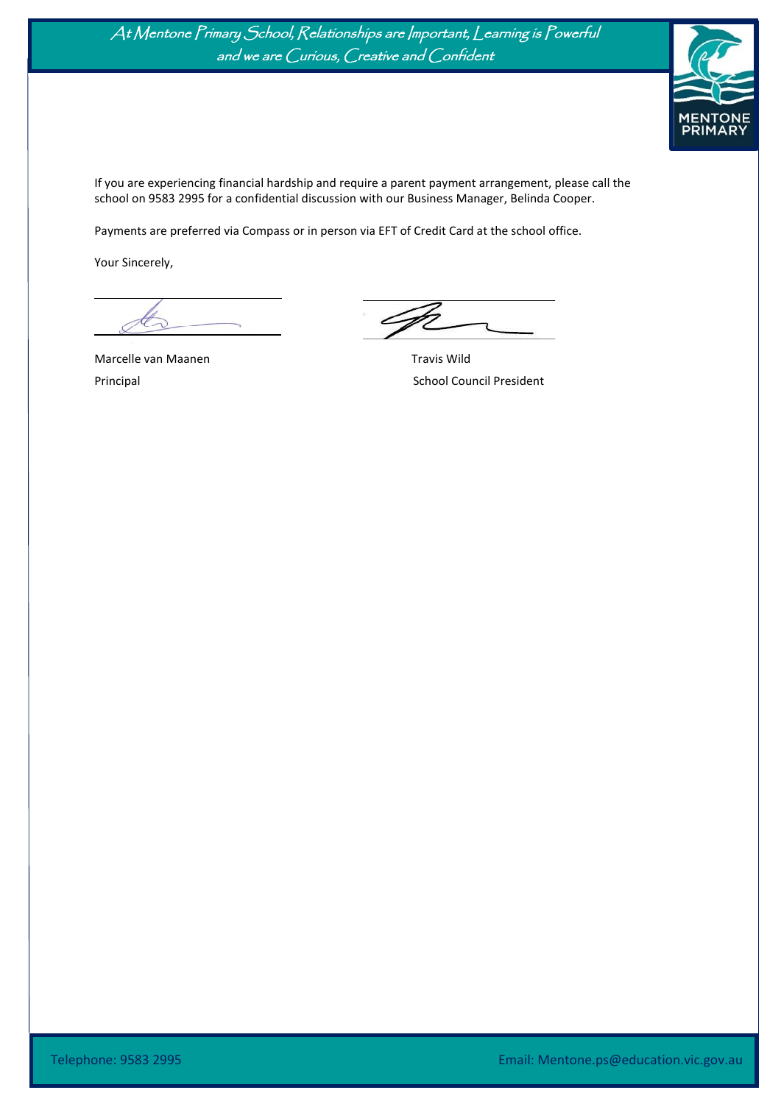



If you are experiencing financial hardship and require a parent payment arrangement, please call the school on 9583 2995 for a confidential discussion with our Business Manager, Belinda Cooper.

Payments are preferred via Compass or in person via EFT of Credit Card at the school office.

Your Sincerely,

Ĩ

Marcelle van Maanen Travis Wild

Principal **School Council President**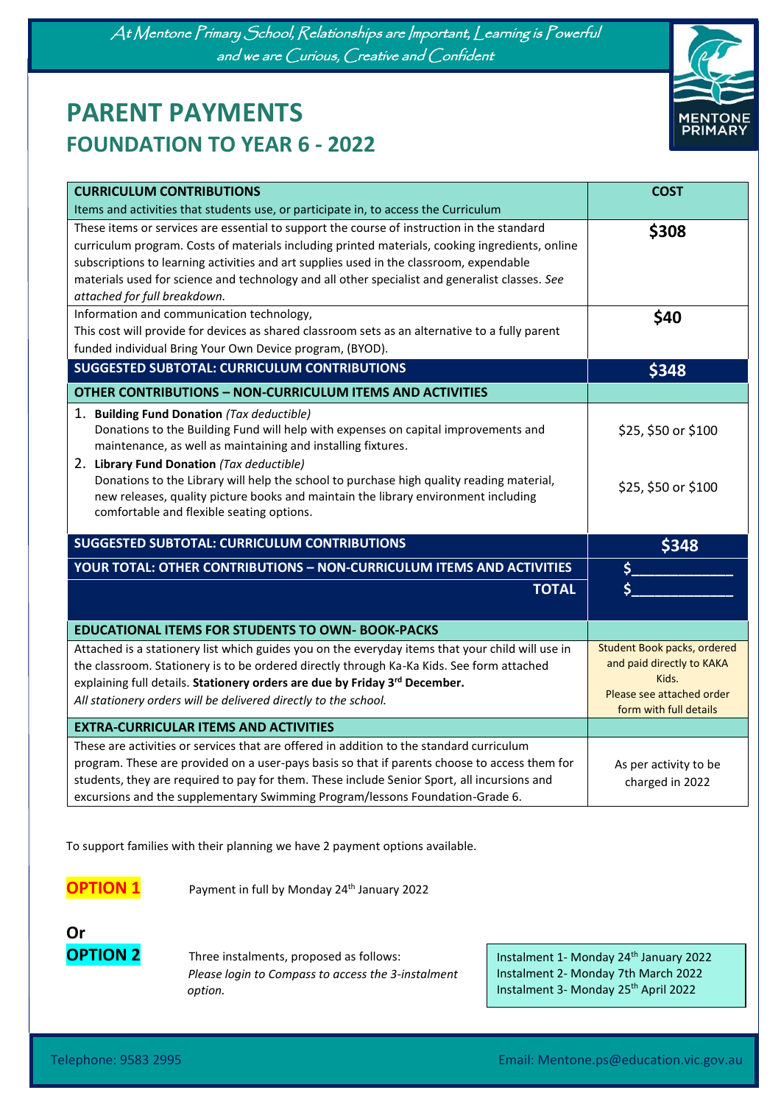At Mentone Primary School, Relationships are Important, Learning is Powerful and we are Curious, Creative and Confident

# **PARENT PAYMENTS FOUNDATION TO YEAR 6 - 2022**

Ĩ



| <b>CURRICULUM CONTRIBUTIONS</b>                                                                  | <b>COST</b>                                         |
|--------------------------------------------------------------------------------------------------|-----------------------------------------------------|
| Items and activities that students use, or participate in, to access the Curriculum              |                                                     |
| These items or services are essential to support the course of instruction in the standard       | \$308                                               |
| curriculum program. Costs of materials including printed materials, cooking ingredients, online  |                                                     |
| subscriptions to learning activities and art supplies used in the classroom, expendable          |                                                     |
| materials used for science and technology and all other specialist and generalist classes. See   |                                                     |
| attached for full breakdown.                                                                     |                                                     |
| Information and communication technology,                                                        | \$40                                                |
| This cost will provide for devices as shared classroom sets as an alternative to a fully parent  |                                                     |
| funded individual Bring Your Own Device program, (BYOD).                                         |                                                     |
| <b>SUGGESTED SUBTOTAL: CURRICULUM CONTRIBUTIONS</b>                                              | \$348                                               |
| <b>OTHER CONTRIBUTIONS - NON-CURRICULUM ITEMS AND ACTIVITIES</b>                                 |                                                     |
| 1. Building Fund Donation (Tax deductible)                                                       |                                                     |
| Donations to the Building Fund will help with expenses on capital improvements and               | \$25, \$50 or \$100                                 |
| maintenance, as well as maintaining and installing fixtures.                                     |                                                     |
| 2. Library Fund Donation (Tax deductible)                                                        |                                                     |
| Donations to the Library will help the school to purchase high quality reading material,         | \$25, \$50 or \$100                                 |
| new releases, quality picture books and maintain the library environment including               |                                                     |
| comfortable and flexible seating options.                                                        |                                                     |
| <b>SUGGESTED SUBTOTAL: CURRICULUM CONTRIBUTIONS</b>                                              | \$348                                               |
| YOUR TOTAL: OTHER CONTRIBUTIONS - NON-CURRICULUM ITEMS AND ACTIVITIES                            |                                                     |
| <b>TOTAL</b>                                                                                     |                                                     |
|                                                                                                  |                                                     |
| <b>EDUCATIONAL ITEMS FOR STUDENTS TO OWN- BOOK-PACKS</b>                                         |                                                     |
| Attached is a stationery list which guides you on the everyday items that your child will use in | Student Book packs, ordered                         |
| the classroom. Stationery is to be ordered directly through Ka-Ka Kids. See form attached        | and paid directly to KAKA                           |
| explaining full details. Stationery orders are due by Friday 3rd December.                       | Kids.                                               |
| All stationery orders will be delivered directly to the school.                                  | Please see attached order<br>form with full details |
| <b>EXTRA-CURRICULAR ITEMS AND ACTIVITIES</b>                                                     |                                                     |
| These are activities or services that are offered in addition to the standard curriculum         |                                                     |
| program. These are provided on a user-pays basis so that if parents choose to access them for    | As per activity to be                               |
| students, they are required to pay for them. These include Senior Sport, all incursions and      | charged in 2022                                     |
|                                                                                                  |                                                     |
| excursions and the supplementary Swimming Program/lessons Foundation-Grade 6.                    |                                                     |

To support families with their planning we have 2 payment options available.

**OPTION 1** Payment in full by Monday 24<sup>th</sup> January 2022

**Or**

**OPTION 2** Three instalments, proposed as follows: *Please login to Compass to access the 3-instalment option.*

Instalment 1- Monday 24<sup>th</sup> January 2022 Instalment 2- Monday 7th March 2022 Instalment 3- Monday 25<sup>th</sup> April 2022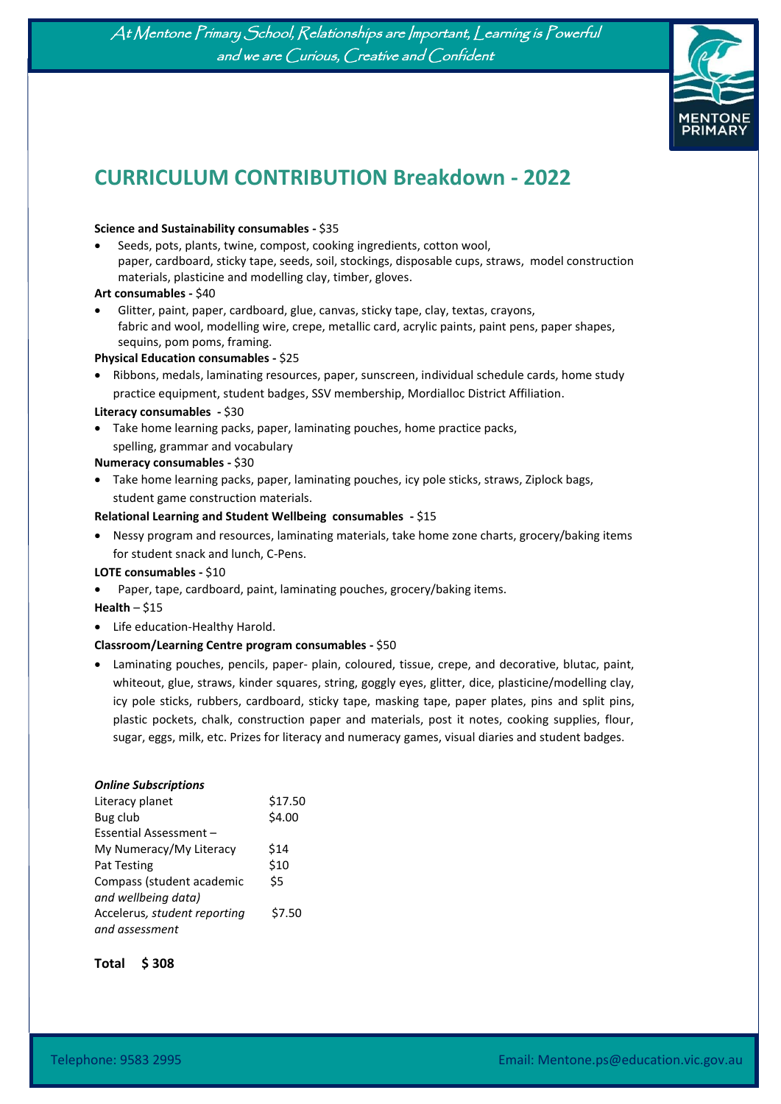At Mentone Primary School, Relationships are Important, Learning is Powerful and we are Curious, Creative and Confident



# **CURRICULUM CONTRIBUTION Breakdown - 2022**

#### **Science and Sustainability consumables -** \$35

• Seeds, pots, plants, twine, compost, cooking ingredients, cotton wool, paper, cardboard, sticky tape, seeds, soil, stockings, disposable cups, straws, model construction materials, plasticine and modelling clay, timber, gloves.

#### **Art consumables -** \$40

Ĩ

• Glitter, paint, paper, cardboard, glue, canvas, sticky tape, clay, textas, crayons, fabric and wool, modelling wire, crepe, metallic card, acrylic paints, paint pens, paper shapes, sequins, pom poms, framing.

#### **Physical Education consumables -** \$25

• Ribbons, medals, laminating resources, paper, sunscreen, individual schedule cards, home study practice equipment, student badges, SSV membership, Mordialloc District Affiliation.

#### **Literacy consumables -** \$30

• Take home learning packs, paper, laminating pouches, home practice packs, spelling, grammar and vocabulary

#### **Numeracy consumables -** \$30

• Take home learning packs, paper, laminating pouches, icy pole sticks, straws, Ziplock bags, student game construction materials.

#### **Relational Learning and Student Wellbeing consumables -** \$15

• Nessy program and resources, laminating materials, take home zone charts, grocery/baking items for student snack and lunch, C-Pens.

## **LOTE consumables -** \$10

• Paper, tape, cardboard, paint, laminating pouches, grocery/baking items.

**Health** – \$15

• Life education-Healthy Harold.

#### **Classroom/Learning Centre program consumables -** \$50

• Laminating pouches, pencils, paper- plain, coloured, tissue, crepe, and decorative, blutac, paint, whiteout, glue, straws, kinder squares, string, goggly eyes, glitter, dice, plasticine/modelling clay, icy pole sticks, rubbers, cardboard, sticky tape, masking tape, paper plates, pins and split pins, plastic pockets, chalk, construction paper and materials, post it notes, cooking supplies, flour, sugar, eggs, milk, etc. Prizes for literacy and numeracy games, visual diaries and student badges.

| <b>Online Subscriptions</b>  |         |
|------------------------------|---------|
| Literacy planet              | \$17.50 |
| Bug club                     | \$4.00  |
| Essential Assessment -       |         |
| My Numeracy/My Literacy      | \$14    |
| <b>Pat Testing</b>           | \$10    |
| Compass (student academic    | \$5     |
| and wellbeing data)          |         |
| Accelerus, student reporting | \$7.50  |
| and assessment               |         |
|                              |         |